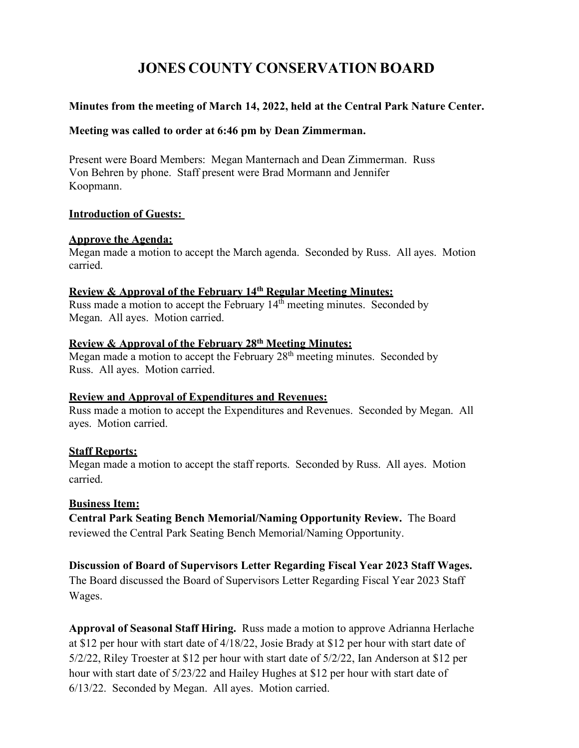# **JONES COUNTY CONSERVATION BOARD**

### **Minutes from the meeting of March 14, 2022, held at the Central Park Nature Center.**

#### **Meeting was called to order at 6:46 pm by Dean Zimmerman.**

Present were Board Members: Megan Manternach and Dean Zimmerman. Russ Von Behren by phone. Staff present were Brad Mormann and Jennifer Koopmann.

#### **Introduction of Guests:**

#### **Approve the Agenda:**

Megan made a motion to accept the March agenda. Seconded by Russ. All ayes. Motion carried.

### **Review & Approval of the February 14th Regular Meeting Minutes:**

Russ made a motion to accept the February  $14<sup>th</sup>$  meeting minutes. Seconded by Megan. All ayes. Motion carried.

#### **Review & Approval of the February 28th Meeting Minutes:**

Megan made a motion to accept the February  $28<sup>th</sup>$  meeting minutes. Seconded by Russ. All ayes. Motion carried.

## **Review and Approval of Expenditures and Revenues:**

Russ made a motion to accept the Expenditures and Revenues. Seconded by Megan. All ayes. Motion carried.

## **Staff Reports:**

Megan made a motion to accept the staff reports. Seconded by Russ. All ayes. Motion carried.

## **Business Item:**

**Central Park Seating Bench Memorial/Naming Opportunity Review.** The Board reviewed the Central Park Seating Bench Memorial/Naming Opportunity.

## **Discussion of Board of Supervisors Letter Regarding Fiscal Year 2023 Staff Wages.**

The Board discussed the Board of Supervisors Letter Regarding Fiscal Year 2023 Staff Wages.

**Approval of Seasonal Staff Hiring.** Russ made a motion to approve Adrianna Herlache at \$12 per hour with start date of 4/18/22, Josie Brady at \$12 per hour with start date of 5/2/22, Riley Troester at \$12 per hour with start date of 5/2/22, Ian Anderson at \$12 per hour with start date of 5/23/22 and Hailey Hughes at \$12 per hour with start date of 6/13/22. Seconded by Megan. All ayes. Motion carried.